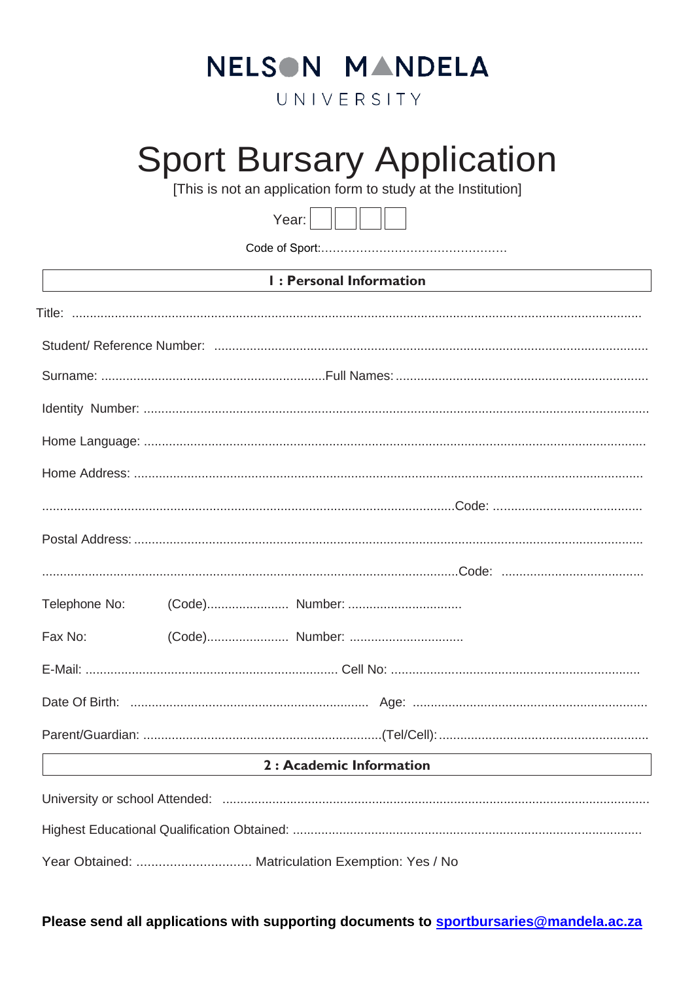## NELSON MANDELA

UNIVERSITY

# **Sport Bursary Application**

[This is not an application form to study at the Institution]



| <b>I: Personal Information</b> |  |                                                   |  |  |
|--------------------------------|--|---------------------------------------------------|--|--|
|                                |  |                                                   |  |  |
|                                |  |                                                   |  |  |
|                                |  |                                                   |  |  |
|                                |  |                                                   |  |  |
|                                |  |                                                   |  |  |
|                                |  |                                                   |  |  |
|                                |  |                                                   |  |  |
|                                |  |                                                   |  |  |
|                                |  |                                                   |  |  |
| Telephone No:                  |  |                                                   |  |  |
| Fax No:                        |  |                                                   |  |  |
|                                |  |                                                   |  |  |
|                                |  |                                                   |  |  |
|                                |  |                                                   |  |  |
|                                |  | 2 : Academic Information                          |  |  |
|                                |  |                                                   |  |  |
|                                |  |                                                   |  |  |
|                                |  | Year Obtained:  Matriculation Exemption: Yes / No |  |  |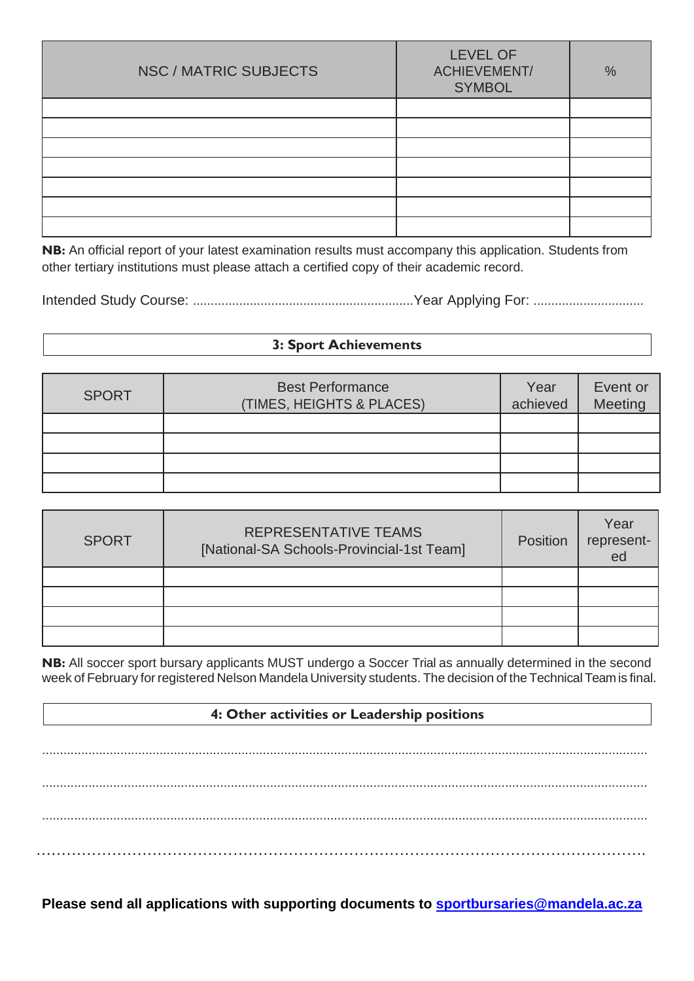| NSC / MATRIC SUBJECTS | <b>LEVEL OF</b><br><b>ACHIEVEMENT/</b><br><b>SYMBOL</b> | $\%$ |
|-----------------------|---------------------------------------------------------|------|
|                       |                                                         |      |
|                       |                                                         |      |
|                       |                                                         |      |
|                       |                                                         |      |
|                       |                                                         |      |
|                       |                                                         |      |
|                       |                                                         |      |

**NB:** An official report of your latest examination results must accompany this application. Students from other tertiary institutions must please attach a certified copy of their academic record.

Intended Study Course: ..............................................................Year Applying For: ...............................

#### **3: Sport Achievements**

| <b>SPORT</b> | <b>Best Performance</b><br>(TIMES, HEIGHTS & PLACES) | Year<br>achieved | Event or<br>Meeting |
|--------------|------------------------------------------------------|------------------|---------------------|
|              |                                                      |                  |                     |
|              |                                                      |                  |                     |
|              |                                                      |                  |                     |
|              |                                                      |                  |                     |

| <b>SPORT</b> | REPRESENTATIVE TEAMS<br>[National-SA Schools-Provincial-1st Team] | <b>Position</b> | Year<br>represent-<br>ed |
|--------------|-------------------------------------------------------------------|-----------------|--------------------------|
|              |                                                                   |                 |                          |
|              |                                                                   |                 |                          |
|              |                                                                   |                 |                          |
|              |                                                                   |                 |                          |

**NB:** All soccer sport bursary applicants MUST undergo a Soccer Trial as annually determined in the second week of February for registered Nelson Mandela University students. The decision of the Technical Team is final.

### **4: Other activities or Leadership positions**

.......................................................................................................................................................................... .......................................................................................................................................................................... .......................................................................................................................................................................... ………………………………………………………………………………………………………….

**Please send all applications with supporting documents to [sportbursaries@mandela.ac.za](mailto:sportbursaries@mandela.ac.za)**